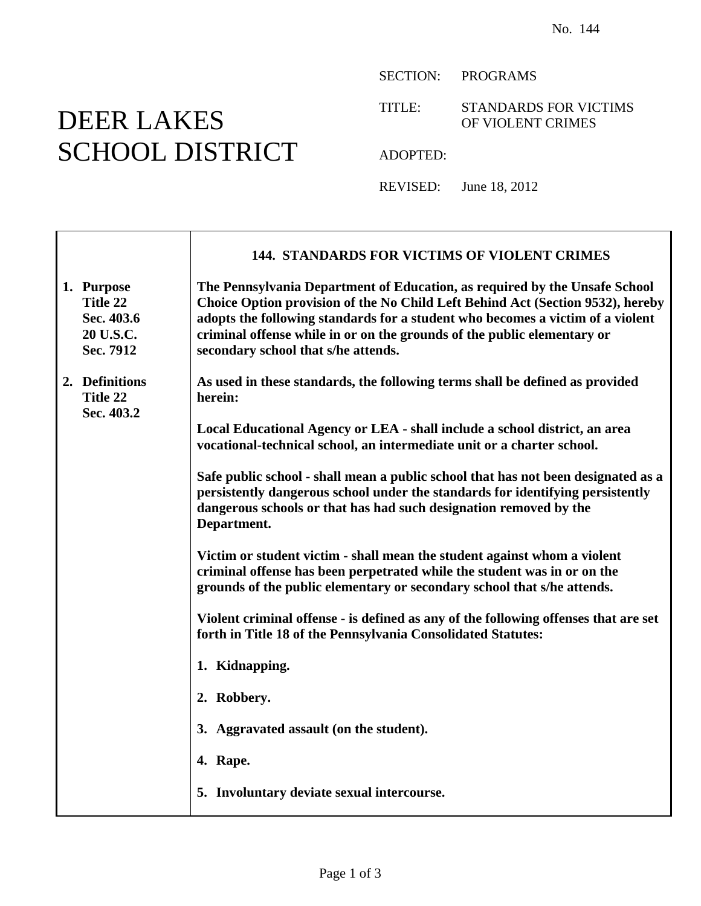## DEER LAKES SCHOOL DISTRICT

SECTION: PROGRAMS

TITLE: STANDARDS FOR VICTIMS OF VIOLENT CRIMES

ADOPTED:

REVISED: June 18, 2012

|                                                                | 144. STANDARDS FOR VICTIMS OF VIOLENT CRIMES                                                                                                                                                                                                                                                                                                                     |
|----------------------------------------------------------------|------------------------------------------------------------------------------------------------------------------------------------------------------------------------------------------------------------------------------------------------------------------------------------------------------------------------------------------------------------------|
| 1. Purpose<br>Title 22<br>Sec. 403.6<br>20 U.S.C.<br>Sec. 7912 | The Pennsylvania Department of Education, as required by the Unsafe School<br>Choice Option provision of the No Child Left Behind Act (Section 9532), hereby<br>adopts the following standards for a student who becomes a victim of a violent<br>criminal offense while in or on the grounds of the public elementary or<br>secondary school that s/he attends. |
| 2. Definitions<br>Title 22<br>Sec. 403.2                       | As used in these standards, the following terms shall be defined as provided<br>herein:                                                                                                                                                                                                                                                                          |
|                                                                | Local Educational Agency or LEA - shall include a school district, an area<br>vocational-technical school, an intermediate unit or a charter school.                                                                                                                                                                                                             |
|                                                                | Safe public school - shall mean a public school that has not been designated as a<br>persistently dangerous school under the standards for identifying persistently<br>dangerous schools or that has had such designation removed by the<br>Department.                                                                                                          |
|                                                                | Victim or student victim - shall mean the student against whom a violent<br>criminal offense has been perpetrated while the student was in or on the<br>grounds of the public elementary or secondary school that s/he attends.                                                                                                                                  |
|                                                                | Violent criminal offense - is defined as any of the following offenses that are set<br>forth in Title 18 of the Pennsylvania Consolidated Statutes:                                                                                                                                                                                                              |
|                                                                | 1. Kidnapping.                                                                                                                                                                                                                                                                                                                                                   |
|                                                                | 2. Robbery.                                                                                                                                                                                                                                                                                                                                                      |
|                                                                | 3. Aggravated assault (on the student).                                                                                                                                                                                                                                                                                                                          |
|                                                                | 4. Rape.                                                                                                                                                                                                                                                                                                                                                         |
|                                                                | 5. Involuntary deviate sexual intercourse.                                                                                                                                                                                                                                                                                                                       |
|                                                                |                                                                                                                                                                                                                                                                                                                                                                  |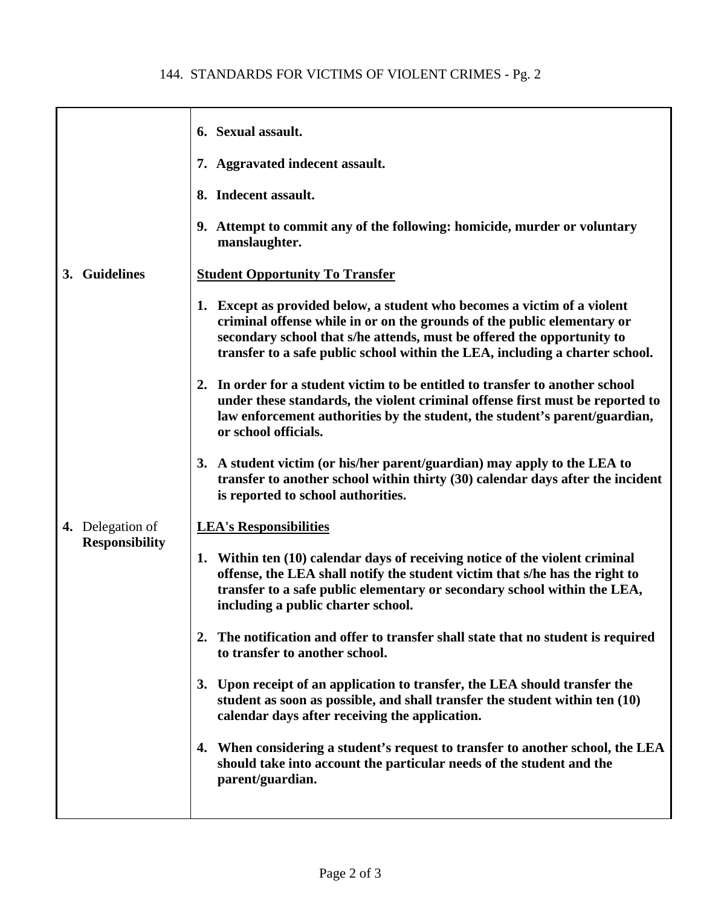|                                           | 6. Sexual assault.                                                                                                                                                                                                                                                                                            |
|-------------------------------------------|---------------------------------------------------------------------------------------------------------------------------------------------------------------------------------------------------------------------------------------------------------------------------------------------------------------|
|                                           | 7. Aggravated indecent assault.                                                                                                                                                                                                                                                                               |
|                                           | 8. Indecent assault.                                                                                                                                                                                                                                                                                          |
|                                           | 9. Attempt to commit any of the following: homicide, murder or voluntary<br>manslaughter.                                                                                                                                                                                                                     |
| 3. Guidelines                             | <b>Student Opportunity To Transfer</b>                                                                                                                                                                                                                                                                        |
|                                           | 1. Except as provided below, a student who becomes a victim of a violent<br>criminal offense while in or on the grounds of the public elementary or<br>secondary school that s/he attends, must be offered the opportunity to<br>transfer to a safe public school within the LEA, including a charter school. |
|                                           | In order for a student victim to be entitled to transfer to another school<br>under these standards, the violent criminal offense first must be reported to<br>law enforcement authorities by the student, the student's parent/guardian,<br>or school officials.                                             |
|                                           | 3. A student victim (or his/her parent/guardian) may apply to the LEA to<br>transfer to another school within thirty (30) calendar days after the incident<br>is reported to school authorities.                                                                                                              |
| 4. Delegation of<br><b>Responsibility</b> | <b>LEA's Responsibilities</b>                                                                                                                                                                                                                                                                                 |
|                                           | 1. Within ten (10) calendar days of receiving notice of the violent criminal<br>offense, the LEA shall notify the student victim that s/he has the right to<br>transfer to a safe public elementary or secondary school within the LEA,<br>including a public charter school.                                 |
|                                           | 2. The notification and offer to transfer shall state that no student is required<br>to transfer to another school.                                                                                                                                                                                           |
|                                           | 3. Upon receipt of an application to transfer, the LEA should transfer the<br>student as soon as possible, and shall transfer the student within ten (10)<br>calendar days after receiving the application.                                                                                                   |
|                                           | 4. When considering a student's request to transfer to another school, the LEA<br>should take into account the particular needs of the student and the<br>parent/guardian.                                                                                                                                    |
|                                           |                                                                                                                                                                                                                                                                                                               |